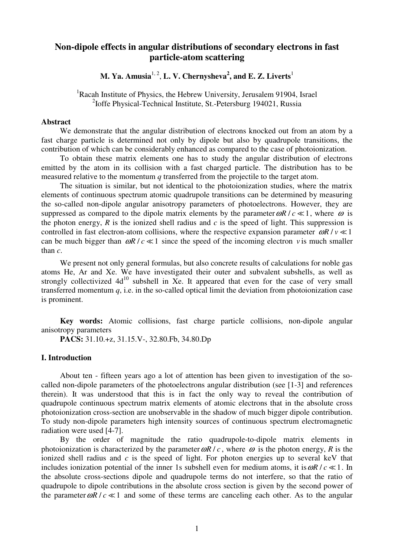# **Non-dipole effects in angular distributions of secondary electrons in fast particle-atom scattering**

**M. Ya. Amusia<sup>1, 2</sup>, L. V. Chernysheva<sup>2</sup>, and E. Z. Liverts<sup>1</sup>** 

<sup>1</sup>Racah Institute of Physics, the Hebrew University, Jerusalem 91904, Israel <sup>2</sup>Ioffe Physical-Technical Institute, St.-Petersburg 194021, Russia

## **Abstract**

We demonstrate that the angular distribution of electrons knocked out from an atom by a fast charge particle is determined not only by dipole but also by quadrupole transitions, the contribution of which can be considerably enhanced as compared to the case of photoionization.

To obtain these matrix elements one has to study the angular distribution of electrons emitted by the atom in its collision with a fast charged particle. The distribution has to be measured relative to the momentum *q* transferred from the projectile to the target atom.

The situation is similar, but not identical to the photoionization studies, where the matrix elements of continuous spectrum atomic quadrupole transitions can be determined by measuring the so-called non-dipole angular anisotropy parameters of photoelectrons. However, they are suppressed as compared to the dipole matrix elements by the parameter  $\omega R / c \ll 1$ , where  $\omega$  is the photon energy,  $R$  is the ionized shell radius and  $c$  is the speed of light. This suppression is controlled in fast electron-atom collisions, where the respective expansion parameter  $\omega R / v \ll 1$ can be much bigger than  $\omega R/c \ll 1$  since the speed of the incoming electron *v* is much smaller than *c*.

We present not only general formulas, but also concrete results of calculations for noble gas atoms He, Ar and Xe. We have investigated their outer and subvalent subshells, as well as strongly collectivized  $4d^{10}$  subshell in Xe. It appeared that even for the case of very small transferred momentum  $q$ , i.e. in the so-called optical limit the deviation from photoionization case is prominent.

**Key words:** Atomic collisions, fast charge particle collisions, non-dipole angular anisotropy parameters

**PACS:** 31.10.+z, 31.15.V-, 32.80.Fb, 34.80.Dp

## **I. Introduction**

About ten - fifteen years ago a lot of attention has been given to investigation of the socalled non-dipole parameters of the photoelectrons angular distribution (see [1-3] and references therein). It was understood that this is in fact the only way to reveal the contribution of quadrupole continuous spectrum matrix elements of atomic electrons that in the absolute cross photoionization cross-section are unobservable in the shadow of much bigger dipole contribution. To study non-dipole parameters high intensity sources of continuous spectrum electromagnetic radiation were used [4-7].

By the order of magnitude the ratio quadrupole-to-dipole matrix elements in photoionization is characterized by the parameter  $\omega R/c$ , where  $\omega$  is the photon energy, R is the ionized shell radius and *c* is the speed of light. For photon energies up to several keV that includes ionization potential of the inner 1s subshell even for medium atoms, it is  $\omega R/c \ll 1$ . In the absolute cross-sections dipole and quadrupole terms do not interfere, so that the ratio of quadrupole to dipole contributions in the absolute cross section is given by the second power of the parameter  $\omega R/c \ll 1$  and some of these terms are canceling each other. As to the angular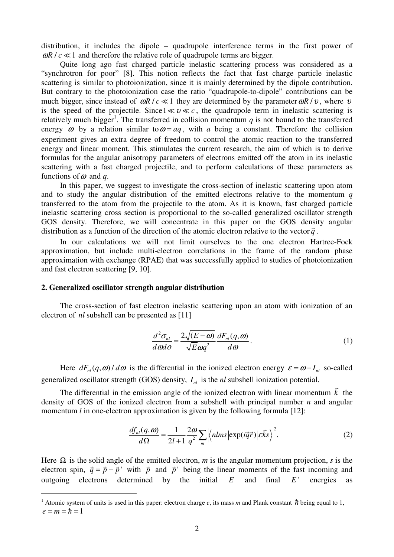distribution, it includes the dipole – quadrupole interference terms in the first power of  $\omega R / c \ll 1$  and therefore the relative role of quadrupole terms are bigger.

Quite long ago fast charged particle inelastic scattering process was considered as a "synchrotron for poor" [8]. This notion reflects the fact that fast charge particle inelastic scattering is similar to photoionization, since it is mainly determined by the dipole contribution. But contrary to the photoionization case the ratio "quadrupole-to-dipole" contributions can be much bigger, since instead of  $\omega R / c \ll 1$  they are determined by the parameter  $\omega R / v$ , where v is the speed of the projectile. Since  $1 \ll v \ll c$ , the quadrupole term in inelastic scattering is relatively much bigger<sup>1</sup>. The transferred in collision momentum  $q$  is not bound to the transferred energy  $\omega$  by a relation similar to  $\omega = aq$ , with a being a constant. Therefore the collision experiment gives an extra degree of freedom to control the atomic reaction to the transferred energy and linear moment. This stimulates the current research, the aim of which is to derive formulas for the angular anisotropy parameters of electrons emitted off the atom in its inelastic scattering with a fast charged projectile, and to perform calculations of these parameters as functions of  $\omega$  and q.

In this paper, we suggest to investigate the cross-section of inelastic scattering upon atom and to study the angular distribution of the emitted electrons relative to the momentum *q*  transferred to the atom from the projectile to the atom. As it is known, fast charged particle inelastic scattering cross section is proportional to the so-called generalized oscillator strength GOS density. Therefore, we will concentrate in this paper on the GOS density angular distribution as a function of the direction of the atomic electron relative to the vector  $\vec{q}$ .

In our calculations we will not limit ourselves to the one electron Hartree-Fock approximation, but include multi-electron correlations in the frame of the random phase approximation with exchange (RPAE) that was successfully applied to studies of photoionization and fast electron scattering [9, 10].

#### **2. Generalized oscillator strength angular distribution**

 $\overline{a}$ 

The cross-section of fast electron inelastic scattering upon an atom with ionization of an electron of *nl* subshell can be presented as [11]

$$
\frac{d^2\sigma_{nl}}{d\omega d\sigma} = \frac{2\sqrt{(E-\omega)}}{\sqrt{E}\omega q^2} \frac{dF_{nl}(q,\omega)}{d\omega}.
$$
\n(1)

Here  $dF_{nl}(q, \omega) / d\omega$  is the differential in the ionized electron energy  $\varepsilon = \omega - I_{nl}$  so-called generalized oscillator strength (GOS) density,  $I_{nl}$  is the *nl* subshell ionization potential. -

The differential in the emission angle of the ionized electron with linear momentum  $\vec{k}$  the density of GOS of the ionized electron from a subshell with principal number *n* and angular momentum *l* in one-electron approximation is given by the following formula [12]:

$$
\frac{df_{nl}(q,\omega)}{d\Omega} = \frac{1}{2l+1} \frac{2\omega}{q^2} \sum_{m} \left| \left\langle nlms \left| \exp(i\vec{q}\vec{r}) \right| \vec{eks} \right\rangle \right|^2. \tag{2}
$$

Here  $\Omega$  is the solid angle of the emitted electron, *m* is the angular momentum projection, *s* is the electron spin,  $\vec{q} = \vec{p} - \vec{p}$  with  $\vec{p}$  and  $\vec{p}$  being the linear moments of the fast incoming and outgoing electrons determined by the initial *E* and final *E* ' energies as

<sup>&</sup>lt;sup>1</sup> Atomic system of units is used in this paper: electron charge *e*, its mass *m* and Plank constant  $\hbar$  being equal to 1,  $e = m = \hbar = 1$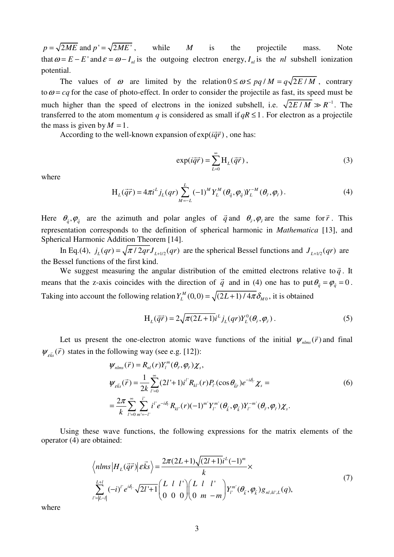$p = \sqrt{2ME}$  and  $p' = \sqrt{2ME'}$ , while *M* is the projectile mass. Note that  $\omega = E - E'$  and  $\varepsilon = \omega - I_{nl}$  is the outgoing electron energy,  $I_{nl}$  is the *nl* subshell ionization potential.

The values of  $\omega$  are limited by the relation  $0 \le \omega \le pq / M = q \sqrt{2E / M}$ , contrary to  $\omega = cq$  for the case of photo-effect. In order to consider the projectile as fast, its speed must be much higher than the speed of electrons in the ionized subshell, i.e.  $\sqrt{2E/M} \gg R^{-1}$ . The transferred to the atom momentum *q* is considered as small if  $qR \leq 1$ . For electron as a projectile the mass is given by  $M = 1$ .

ass is given by  $m = 1$ .<br>According to the well-known expansion of exp( $i\vec{q}\vec{r}$ ) , one has:

$$
\exp(i\vec{q}\vec{r}) = \sum_{L=0}^{\infty} H_L(\vec{q}\vec{r}),
$$
\n(3)

where

$$
H_L(\vec{q}\vec{r}) = 4\pi i^L j_L(qr) \sum_{M=-L}^{L} (-1)^M Y_L^M(\theta_{\vec{q}}, \varphi_{\vec{q}}) Y_L^{-M}(\theta_{\vec{r}}, \varphi_{\vec{r}}).
$$
(4)

Here  $\theta_{\vec{q}}, \varphi_{\vec{q}}$  are the azimuth and polar angles of  $\vec{q}$  $\vec{q}$  and  $\theta_{\vec{r}}, \phi_{\vec{r}}$  are the same for  $\vec{r}$  $\vec{r}$ . This representation corresponds to the definition of spherical harmonic in *Mathematica* [13], and Spherical Harmonic Addition Theorem [14].

In Eq.(4),  $j_L(qr) = \sqrt{\pi/2qr}J_{L+1/2}(qr)$  are the spherical Bessel functions and  $J_{L+1/2}(qr)$  are the Bessel functions of the first kind.

We suggest measuring the angular distribution of the emitted electrons relative to  $\vec{q}$  $\vec{q}$ . It means that the z-axis coincides with the direction of *q*  $\vec{q}$  and in (4) one has to put  $\theta_{\vec{q}} = \varphi_{\vec{q}} = 0$ . Taking into account the following relation  $Y_L^M(0,0) = \sqrt{(2L+1)/4\pi \delta_{M0}}$ , it is obtained

$$
H_L(\vec{q}\vec{r}) = 2\sqrt{\pi(2L+1)}i^L j_L(qr) Y_L^0(\theta_{\vec{r}}, \varphi_{\vec{r}}).
$$
 (5)

Let us present the one-electron atomic wave functions of the initial  $\psi_{nlms}(\vec{r})$  $\vec{r}$ ) and final  $\psi_{\varepsilon \vec{k} s}(\vec{r})$  states in the following way (see e.g. [12]): -

$$
\psi_{nlms}(\vec{r}) = R_{nl}(r)Y_l^m(\theta_{\vec{r}}, \varphi_{\vec{r}})\chi_s,
$$
\n
$$
\psi_{\vec{e}\vec{k}s}(\vec{r}) = \frac{1}{2k} \sum_{l'=0}^{\infty} (2l'+1)i^l R_{kl'}(r)P_{l'}(\cos\theta_{\vec{k}\vec{r}})e^{-i\delta_{l'}}\chi_s =
$$
\n
$$
= \frac{2\pi}{k} \sum_{l'=0}^{\infty} \sum_{m'=-l'}^{l'} i^l e^{-i\delta_{l'}} R_{kl'}(r)(-1)^{m'} Y_l^{m'}(\theta_{\vec{k}}, \varphi_{\vec{k}})Y_l^{-m'}(\theta_{\vec{r}}, \varphi_{\vec{r}})\chi_s.
$$
\n(6)

Using these wave functions, the following expressions for the matrix elements of the operator (4) are obtained:

$$
\left\langle nlms \left| H_L(\vec{q}\vec{r}) \right| \varepsilon \vec{k}s \right\rangle = \frac{2\pi (2L+1)\sqrt{(2l+1)}i^L(-1)^m}{k} \times \sum_{l'=|L-l|}^{L+l} (-i)^l e^{i\delta_l} \sqrt{2l'+1} \left( \begin{array}{cc} L & l & l' \\ 0 & 0 & 0 \end{array} \right) \left( \begin{array}{cc} L & l & l' \\ 0 & m & -m \end{array} \right) Y_l^{m'}(\theta_{\vec{k}}, \varphi_{\vec{k}}) g_{nl,kl',L}(q),
$$
\n(7)

where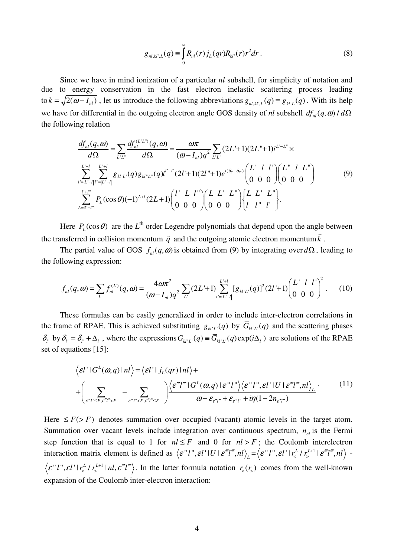$$
g_{nl,kl',L}(q) \equiv \int_{0}^{\infty} R_{nl}(r) j_L(qr) R_{kl'}(r) r^2 dr . \qquad (8)
$$

Since we have in mind ionization of a particular *nl* subshell, for simplicity of notation and due to energy conservation in the fast electron inelastic scattering process leading to  $k = \sqrt{2(\omega - I_{nl})}$ , let us introduce the following abbreviations  $g_{nl,kl',L}(q) = g_{kl'L}(q)$ . With its help we have for differential in the outgoing electron angle GOS density of *nl* subshell  $df_{nl}(q, \omega) / d\Omega$ the following relation

$$
\frac{df_{nl}(q,\omega)}{d\Omega} = \sum_{L'L'} \frac{df_{nl}^{(LL'')}(q,\omega)}{d\Omega} = \frac{\omega \pi}{(\omega - I_{nl})q^2} \sum_{L'L'} (2L'+1)(2L''+1)i^{L'-L''} \times
$$
\n
$$
\sum_{L'=L'-l|l''=|L'-l|} \sum_{L'=l}^{L'+l} g_{kl'L'}(q) g_{kl''L''}(q)i^{l''-l'} (2l'+1)(2l''+1)e^{i(\delta_l-\delta_{l''})} \begin{pmatrix} L' & l & l' \\ 0 & 0 & 0 \end{pmatrix} \begin{pmatrix} L'' & l & L'' \\ 0 & 0 & 0 \end{pmatrix}
$$
\n
$$
\sum_{L=l'-l''}^{l'+l''} P_L(\cos\theta)(-1)^{L+l} (2L+1) \begin{pmatrix} l' & L & l'' \\ 0 & 0 & 0 \end{pmatrix} \begin{pmatrix} L & L'' \\ 0 & 0 & 0 \end{pmatrix} \begin{pmatrix} L & L'' \\ l & l'' & l' \end{pmatrix}.
$$
\n(9)

Here  $P_L(\cos \theta)$  are the *L*<sup>th</sup> order Legendre polynomials that depend upon the angle between the transferred in collision momentum *q*  $\overline{a}$ and the outgoing atomic electron momentum*k* .

The partial value of GOS  $f_{nl}(q, \omega)$  is obtained from (9) by integrating over  $d\Omega$ , leading to the following expression:

$$
f_{nl}(q,\omega) = \sum_{L'} f_{nl}^{(L)}(q,\omega) = \frac{4\omega\pi^2}{(\omega - I_{nl})q^2} \sum_{L'} (2L' + 1) \sum_{l'=|L'-l|}^{L'+l} [g_{kl'L'}(q)]^2 (2l' + 1) \begin{pmatrix} L' & l & l' \\ 0 & 0 & 0 \end{pmatrix}^2.
$$
 (10)

These formulas can be easily generalized in order to include inter-electron correlations in the frame of RPAE. This is achieved substituting  $g_{k/L}(q)$  by  $\overline{G}_{k/L}(q)$  and the scattering phases  $\delta_i$  by  $\overline{\delta}_i = \delta_i + \Delta_i$ , where the expressions  $G_{kl'L'}(q) \equiv \overline{G}_{kl'L'}(q) \exp(i\Delta_l)$  are solutions of the RPAE set of equations [15]:

$$
\langle \varepsilon l^{\prime} | G^{L}(\omega, q) | n l \rangle = \langle \varepsilon l^{\prime} | j_{L}(qr) | n l \rangle +
$$
  
+ 
$$
\left( \sum_{\varepsilon^{r} l^{\prime} \leq F, \varepsilon^{r} l^{\prime\prime} > F} - \sum_{\varepsilon^{r} l^{\prime\prime} < F, \varepsilon^{r} l^{\prime\prime} \leq F} \right) \frac{\langle \varepsilon^{r} l^{r\prime} | G^{L}(\omega, q) | \varepsilon^{r} l^{r} \rangle \langle \varepsilon^{r} l^{r\prime}, \varepsilon l^{\prime} | U | \varepsilon^{r} l^{r\prime}, n l \rangle_{L}}{\omega - \varepsilon_{\varepsilon^{r} l^{\prime\prime}} + \varepsilon_{\varepsilon^{r} l^{\prime\prime}} + i \eta (1 - 2 n_{\varepsilon^{r} l^{\prime}})} \tag{11}
$$

Here ≤ > *F F* ( ) denotes summation over occupied (vacant) atomic levels in the target atom. Summation over vacant levels include integration over continuous spectrum,  $n_{el}$  is the Fermi step function that is equal to 1 for  $nl \leq F$  and 0 for  $nl > F$ ; the Coulomb interelectron interaction matrix element is defined as  $\langle \varepsilon''l''', \varepsilon l' \cdot l \cdot l' \cdot \varepsilon''l''', n l \rangle_{L} = \langle \varepsilon''l''', \varepsilon l' \cdot l' \cdot \varepsilon''l''', n l \rangle \mathcal{E}'' l'' , \mathcal{E} l' | r_{\leq}^{L} / r_{\leq}^{L+1} | n l, \mathcal{E}''' l''' \rangle$ . In the latter formula notation  $r_{\leq} (r_{\geq})$  comes from the well-known expansion of the Coulomb inter-electron interaction: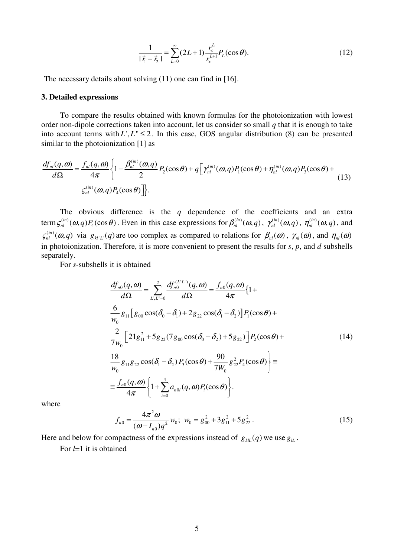$$
\frac{1}{|\vec{r}_1 - \vec{r}_2|} = \sum_{L=0}^{\infty} (2L+1) \frac{r_<^L}{r_>^{L+1}} P_L(\cos \theta).
$$
 (12)

The necessary details about solving (11) one can find in [16].

## **3. Detailed expressions**

To compare the results obtained with known formulas for the photoionization with lowest order non-dipole corrections taken into account, let us consider so small *q* that it is enough to take into account terms with  $L^1, L^{\prime\prime} \leq 2$ . In this case, GOS angular distribution (8) can be presented similar to the photoionization [1] as

$$
\frac{df_{nl}(q,\omega)}{d\Omega} = \frac{f_{nl}(q,\omega)}{4\pi} \left\{ 1 - \frac{\beta_{nl}^{(in)}(\omega,q)}{2} P_2(\cos\theta) + q \left[ \gamma_{nl}^{(in)}(\omega,q) P_1(\cos\theta) + \eta_{nl}^{(in)}(\omega,q) P_3(\cos\theta) + \zeta_{nl}^{(in)}(\omega,q) P_4(\cos\theta) \right] \right\}.
$$
\n(13)

The obvious difference is the *q* dependence of the coefficients and an extra term  $\zeta_{nl}^{(in)}(\omega, q)P_4(\cos\theta)$ . Even in this case expressions for  $\beta_{nl}^{(in)}(\omega, q)$ ,  $\gamma_{nl}^{(in)}(\omega, q)$ ,  $\eta_{nl}^{(in)}(\omega, q)$ , and  $\mathcal{F}_{nl}^{(in)}(\omega, q)$  via  $g_{kl'L}(q)$  are too complex as compared to relations for  $\beta_{nl}(\omega)$ ,  $\gamma_{nl}(\omega)$ , and  $\eta_{nl}(\omega)$ in photoionization. Therefore, it is more convenient to present the results for *s*, *p*, and *d* subshells separately.

For *s*-subshells it is obtained

$$
\frac{df_{n0}(q,\omega)}{d\Omega} = \sum_{L,L'=0}^{2} \frac{df_{n0}^{(L'L'')}(q,\omega)}{d\Omega} = \frac{f_{n0}(q,\omega)}{4\pi} \{1 + \frac{6}{w_0} g_{11} [g_{00} \cos(\delta_0 - \delta_1) + 2g_{22} \cos(\delta_1 - \delta_2)] P_1(\cos\theta) + \frac{2}{7w_0} [21g_{11}^2 + 5g_{22}(7g_{00} \cos(\delta_0 - \delta_2) + 5g_{22})] P_2(\cos\theta) + \frac{18}{w_0} g_{11} g_{22} \cos(\delta_1 - \delta_2) P_3(\cos\theta) + \frac{90}{7w_0} g_{22}^2 P_4(\cos\theta) \} = \frac{f_{n0}(q,\omega)}{4\pi} \{1 + \sum_{i=0}^{4} a_{n0i}(q,\omega) P_i(\cos\theta) \}.
$$
\n(14)

where

$$
f_{n0} = \frac{4\pi^2 \omega}{(\omega - I_{n0})q^2} w_0; \ w_0 = g_{00}^2 + 3g_{11}^2 + 5g_{22}^2.
$$
 (15)

Here and below for compactness of the expressions instead of  $g_{\mu}$  *g* we use  $g_{\mu}$ .

For *l*=1 it is obtained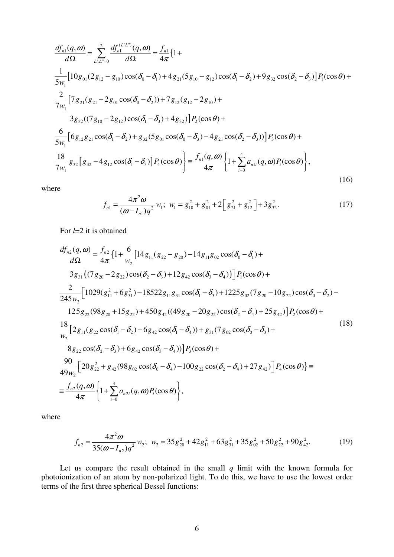$$
\frac{df_{n1}(q,\omega)}{d\Omega} = \sum_{L,L'=0}^{2} \frac{df_{nL}^{(LL')}(q,\omega)}{d\Omega} = \frac{f_{n1}}{4\pi} \{1 + \frac{1}{5w_{1}} [10g_{01}(2g_{12} - g_{10})\cos(\delta_{0} - \delta_{1}) + 4g_{21}(5g_{10} - g_{12})\cos(\delta_{1} - \delta_{2}) + 9g_{32}\cos(\delta_{2} - \delta_{3})] P_{1}(\cos\theta) + \frac{2}{7w_{1}} [7g_{21}(g_{21} - 2g_{01}\cos(\delta_{0} - \delta_{2})) + 7g_{12}(g_{12} - 2g_{10}) + \frac{3g_{32}(7g_{10} - 2g_{12})\cos(\delta_{1} - \delta_{3}) + 4g_{32}] P_{2}(\cos\theta) + \frac{6}{5w_{1}} [6g_{12}g_{21}\cos(\delta_{1} - \delta_{2}) + g_{32}(5g_{01}\cos(\delta_{0} - \delta_{3}) - 4g_{21}\cos(\delta_{2} - \delta_{3}))] P_{3}(\cos\theta) + \frac{18}{7w_{1}} g_{32} [g_{32} - 4g_{12}\cos(\delta_{1} - \delta_{3})] P_{4}(\cos\theta) = \frac{f_{n1}(q,\omega)}{4\pi} \{1 + \sum_{i=0}^{4} a_{n1i}(q,\omega) P_{i}(\cos\theta)\},
$$
\n(16)

where

$$
f_{n1} = \frac{4\pi^2 \omega}{(\omega - I_{n1})q^2} w_1; \ w_1 = g_{10}^2 + g_{01}^2 + 2\left[g_{21}^2 + g_{12}^2\right] + 3g_{32}^2. \tag{17}
$$

For *l*=2 it is obtained

$$
\frac{df_{n2}(q,\omega)}{d\Omega} = \frac{f_{n2}}{4\pi} \{ 1 + \frac{6}{w_2} \left[ 14g_{11}(g_{22} - g_{20}) - 14g_{11}g_{02}\cos(\delta_0 - \delta_1) + 3g_{31}((7g_{20} - 2g_{22})\cos(\delta_2 - \delta_3) + 12g_{42}\cos(\delta_3 - \delta_4) \right] \} P_1(\cos\theta) + \n\frac{2}{245w_2} \left[ 1029(g_{11}^2 + 6g_{31}^2) - 18522g_{11}g_{31}\cos(\delta_1 - \delta_3) + 1225g_{02}(7g_{20} - 10g_{22})\cos(\delta_0 - \delta_2) - 125g_{22}(98g_{20} + 15g_{22}) + 450g_{42}((49g_{20} - 20g_{22})\cos(\delta_2 - \delta_4) + 25g_{42}) \right] P_2(\cos\theta) + \n\frac{18}{w_2} \left[ 2g_{11}(g_{22}\cos(\delta_1 - \delta_2) - 6g_{42}\cos(\delta_1 - \delta_4)) + g_{31}(7g_{02}\cos(\delta_0 - \delta_3) - 8g_{22}\cos(\delta_2 - \delta_3) + 6g_{42}\cos(\delta_3 - \delta_4) \right] P_3(\cos\theta) + \n\frac{90}{49w_2} \left[ 20g_{22}^2 + g_{42}(98g_{02}\cos(\delta_0 - \delta_4) - 100g_{22}\cos(\delta_2 - \delta_4) + 27g_{42}) \right] P_4(\cos\theta) \} = \n\frac{f_{n2}(q,\omega)}{4\pi} \left\{ 1 + \sum_{i=0}^{4} a_{n2i}(q,\omega) P_i(\cos\theta) \right\},
$$
\n(18)

where

$$
f_{n2} = \frac{4\pi^2 \omega}{35(\omega - I_{n2})q^2} w_2; \ w_2 = 35g_{20}^2 + 42g_{11}^2 + 63g_{31}^2 + 35g_{02}^2 + 50g_{22}^2 + 90g_{42}^2. \tag{19}
$$

Let us compare the result obtained in the small  $q$  limit with the known formula for photoionization of an atom by non-polarized light. To do this, we have to use the lowest order terms of the first three spherical Bessel functions: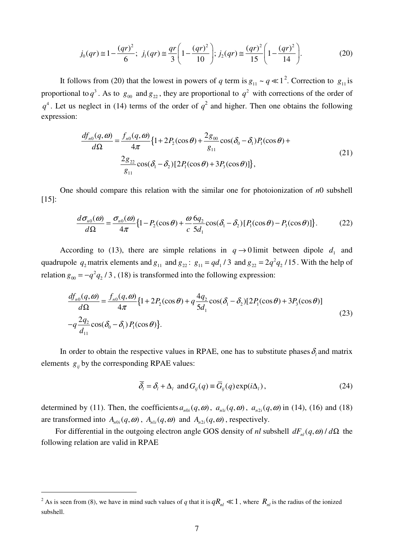$$
j_0(qr) \approx 1 - \frac{(qr)^2}{6}; \ j_1(qr) \approx \frac{qr}{3} \left( 1 - \frac{(qr)^2}{10} \right); \ j_2(qr) \approx \frac{(qr)^2}{15} \left( 1 - \frac{(qr)^2}{14} \right).
$$
 (20)

It follows from (20) that the lowest in powers of *q* term is  $g_{11} \sim q \ll 1^2$ . Correction to  $g_{11}$  is proportional to  $q^3$ . As to  $g_{00}$  and  $g_{22}$ , they are proportional to  $q^2$  with corrections of the order of  $q^4$ . Let us neglect in (14) terms of the order of  $q^2$  and higher. Then one obtains the following expression:

$$
\frac{df_{n0}(q,\omega)}{d\Omega} = \frac{f_{n0}(q,\omega)}{4\pi} \{1 + 2P_2(\cos\theta) + \frac{2g_{00}}{g_{11}}\cos(\delta_0 - \delta_1)P_1(\cos\theta) + \frac{2g_{22}}{g_{11}}\cos(\delta_1 - \delta_2)[2P_1(\cos\theta) + 3P_3(\cos\theta)]\},
$$
\n(21)

One should compare this relation with the similar one for photoionization of *n*0 subshell [15]:

$$
\frac{d\sigma_{n0}(\omega)}{d\Omega} = \frac{\sigma_{n0}(\omega)}{4\pi} \{1 - P_2(\cos\theta) + \frac{\omega}{c} \frac{6q_2}{5d_1} \cos(\delta_1 - \delta_2) [P_1(\cos\theta) - P_3(\cos\theta)]\}.
$$
 (22)

According to (13), there are simple relations in  $q \rightarrow 0$  limit between dipole  $d_1$  and quadrupole  $q_2$  matrix elements and  $g_{11}$  and  $g_{22}$ :  $g_{11} = q d_1 / 3$  and  $g_{22} = 2 q^2 q_2 / 15$ . With the help of relation  $g_{00} = -q^2 q_2 / 3$ , (18) is transformed into the following expression:

$$
\frac{df_{n0}(q,\omega)}{d\Omega} = \frac{f_{n0}(q,\omega)}{4\pi} \{1 + 2P_2(\cos\theta) + q\frac{4q_2}{5d_1}\cos(\delta_1 - \delta_2)[2P_1(\cos\theta) + 3P_3(\cos\theta)]
$$
\n
$$
-q\frac{2q_2}{d_{11}}\cos(\delta_0 - \delta_1)P_1(\cos\theta)\}.
$$
\n(23)

In order to obtain the respective values in RPAE, one has to substitute phases  $\delta_i$  and matrix elements  $g_{ij}$  by the corresponding RPAE values:

$$
\overline{\delta}_i = \delta_i + \Delta_i \text{ and } G_{ij}(q) \equiv \overline{G}_{ij}(q) \exp(i\Delta_i), \qquad (24)
$$

determined by (11). Then, the coefficients  $a_{n0i}(q, \omega)$ ,  $a_{n1i}(q, \omega)$ ,  $a_{n2i}(q, \omega)$  in (14), (16) and (18) are transformed into  $A_{n0i}(q, \omega)$ ,  $A_{n1i}(q, \omega)$  and  $A_{n2i}(q, \omega)$ , respectively.

For differential in the outgoing electron angle GOS density of *nl* subshell  $dF_{nl}(q, \omega) / d\Omega$  the following relation are valid in RPAE

 $\overline{a}$ 

<sup>&</sup>lt;sup>2</sup> As is seen from (8), we have in mind such values of *q* that it is  $qR_{nl} \ll 1$ , where  $R_{nl}$  is the radius of the ionized subshell.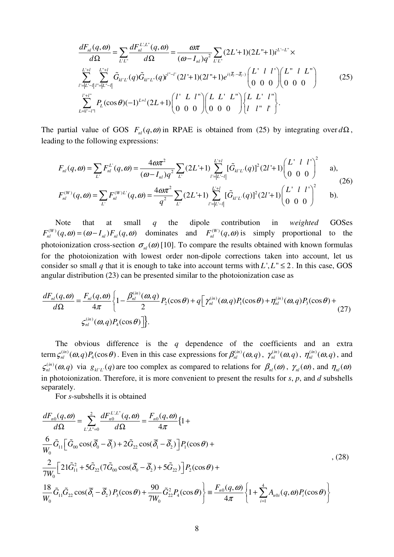$$
\frac{dF_{nl}(q,\omega)}{d\Omega} = \sum_{L'L'} \frac{dF_{nl}^{L'L'}(q,\omega)}{d\Omega} = \frac{\omega \pi}{(\omega - I_{nl})q^2} \sum_{L'L'} (2L'+1)(2L''+1)i^{L'-L''} \times
$$
\n
$$
\sum_{l'=|L'-l|}^{L'+l} \sum_{l'=|L'-l|}^{L''+l} \tilde{G}_{kl'L'}(q) \tilde{G}_{kl'L'}(q)i^{l''-l'} (2l'+1)(2l''+1)e^{i(\bar{\delta}_{l}-\bar{\delta}_{l-})} \begin{pmatrix} L' & l & l' \\ 0 & 0 & 0 \end{pmatrix} \begin{pmatrix} L'' & l & L'' \\ 0 & 0 & 0 \end{pmatrix}
$$
\n
$$
\sum_{L=l'-l''}^{l'+l''} P_L(\cos\theta)(-1)^{L+l} (2L+1) \begin{pmatrix} l' & L & l'' \\ 0 & 0 & 0 \end{pmatrix} \begin{pmatrix} L & L' & L'' \\ 0 & 0 & 0 \end{pmatrix} \begin{pmatrix} L & L' & l'' \\ l & l'' & l' \end{pmatrix} .
$$
\n(25)

The partial value of GOS  $F_{nl}(q, \omega)$  in RPAE is obtained from (25) by integrating over  $d\Omega$ , leading to the following expressions:

$$
F_{nl}(q,\omega) = \sum_{L'} F_{nl}^{L'}(q,\omega) = \frac{4\omega\pi^2}{(\omega - I_{nl})q^2} \sum_{L'} (2L' + 1) \sum_{l' = |L'-l|}^{L'+l} [\tilde{G}_{kl'L'}(q)]^2 (2l' + 1) \begin{pmatrix} L' & l & l' \\ 0 & 0 & 0 \end{pmatrix}^2 \quad \text{a)},
$$
\n(26)

$$
F_{nl}^{(W)}(q,\omega) = \sum_{L'} F_{nl}^{(W)L'}(q,\omega) = \frac{4\omega\pi^2}{q^2} \sum_{L'} (2L'+1) \sum_{l'=|L'-l|}^{L'+l} [\tilde{G}_{kl'L'}(q)]^2 (2l'+1) \begin{pmatrix} L' & l & l' \\ 0 & 0 & 0 \end{pmatrix}^2
$$
 b).

Note that at small *q* the dipole contribution in *weighted* GOSes  $F_{nl}^{(W)}(q, \omega) = (\omega - I_{nl}) F_{nl}(q, \omega)$  dominates and  $F_{nl}^{(W)}(q, \omega)$  is simply proportional to the photoionization cross-section  $\sigma_{nl}(\omega)$  [10]. To compare the results obtained with known formulas for the photoionization with lowest order non-dipole corrections taken into account, let us consider so small *q* that it is enough to take into account terms with  $L^1, L^1 \leq 2$ . In this case, GOS angular distribution (23) can be presented similar to the photoionization case as

$$
\frac{dF_{nl}(q,\omega)}{d\Omega} = \frac{F_{nl}(q,\omega)}{4\pi} \left\{ 1 - \frac{\beta_{nl}^{(in)}(\omega,q)}{2} P_2(\cos\theta) + q \left[ \gamma_{nl}^{(in)}(\omega,q) P_1(\cos\theta) + \eta_{nl}^{(in)}(\omega,q) P_3(\cos\theta) + \zeta_{nl}^{(in)}(\omega,q) P_4(\cos\theta) \right] \right\}.
$$
\n(27)

The obvious difference is the *q* dependence of the coefficients and an extra term  $\zeta_{nl}^{(in)}(\omega, q)P_4(\cos\theta)$ . Even in this case expressions for  $\beta_{nl}^{(in)}(\omega, q)$ ,  $\gamma_{nl}^{(in)}(\omega, q)$ ,  $\eta_{nl}^{(in)}(\omega, q)$ , and  $\mathcal{F}_{nl}^{(in)}(\omega, q)$  via  $g_{kl'L'}(q)$  are too complex as compared to relations for  $\beta_{nl}(\omega)$ ,  $\gamma_{nl}(\omega)$ , and  $\eta_{nl}(\omega)$ in photoionization. Therefore, it is more convenient to present the results for *s*, *p*, and *d* subshells separately.

For *s*-subshells it is obtained

$$
\frac{dF_{n0}(q,\omega)}{d\Omega} = \sum_{L,L'=0}^{2} \frac{dF_{n0}^{L,L''}(q,\omega)}{d\Omega} = \frac{F_{n0}(q,\omega)}{4\pi} \{1 + \frac{6}{W_0} \tilde{G}_{11} \left[ \tilde{G}_{00} \cos(\overline{\delta}_0 - \overline{\delta}_1) + 2 \tilde{G}_{22} \cos(\overline{\delta}_1 - \overline{\delta}_2) \right] P_1(\cos \theta) + \frac{2}{7W_0} \left[ 21 \tilde{G}_{11}^2 + 5 \tilde{G}_{22} (7 \tilde{G}_{00} \cos(\overline{\delta}_0 - \overline{\delta}_2) + 5 \tilde{G}_{22}) \right] P_2(\cos \theta) + \frac{18}{W_0} \tilde{G}_{11} \tilde{G}_{22} \cos(\overline{\delta}_1 - \overline{\delta}_2) P_3(\cos \theta) + \frac{90}{7W_0} \tilde{G}_{22}^2 P_4(\cos \theta) \bigg\} = \frac{F_{n0}(q,\omega)}{4\pi} \left\{ 1 + \sum_{i=1}^4 A_{n0i}(q,\omega) P_i(\cos \theta) \right\}
$$
\n(28)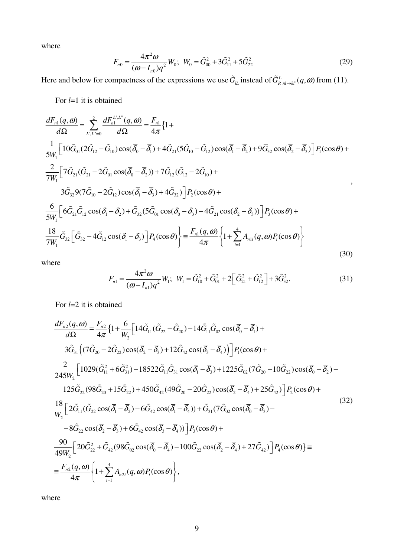where

$$
F_{n0} = \frac{4\pi^2 \omega}{(\omega - I_{n0})q^2} W_0; \ W_0 = \tilde{G}_{00}^2 + 3\tilde{G}_{11}^2 + 5\tilde{G}_{22}^2
$$
 (29)

Here and below for compactness of the expressions we use  $\tilde{G}_{\ell L}$  instead of  $\tilde{G}_{R n l \to kl'}^L(q, \omega)$  from (11).

For *l*=1 it is obtained

$$
\frac{dF_{n1}(q,\omega)}{d\Omega} = \sum_{L,L'=0}^{2} \frac{dF_{n1}^{L,L''}(q,\omega)}{d\Omega} = \frac{F_{n1}}{4\pi} \{1 + \frac{1}{5W_{1}} \left[ 10\tilde{G}_{01}(2\tilde{G}_{12} - \tilde{G}_{10})\cos(\overline{\delta}_{0} - \overline{\delta}_{1}) + 4\tilde{G}_{21}(5\tilde{G}_{10} - \tilde{G}_{12})\cos(\overline{\delta}_{1} - \overline{\delta}_{2}) + 9\overline{G}_{32}\cos(\overline{\delta}_{2} - \overline{\delta}_{3}) \right] P_{1}(\cos\theta) + \frac{2}{7W_{1}} \left[ 7\tilde{G}_{21}(\tilde{G}_{21} - 2\tilde{G}_{01}\cos(\overline{\delta}_{0} - \overline{\delta}_{2})) + 7\tilde{G}_{12}(\tilde{G}_{12} - 2\tilde{G}_{10}) + \frac{3\tilde{G}_{32}9(7\tilde{G}_{10} - 2\tilde{G}_{12})\cos(\overline{\delta}_{1} - \overline{\delta}_{3}) + 4\tilde{G}_{32}) \right] P_{2}(\cos\theta) + \frac{6}{5W_{1}} \left[ 6\tilde{G}_{21}\tilde{G}_{12}\cos(\overline{\delta}_{1} - \overline{\delta}_{2}) + \tilde{G}_{32}(5\tilde{G}_{01}\cos(\overline{\delta}_{0} - \overline{\delta}_{3}) - 4\tilde{G}_{21}\cos(\overline{\delta}_{2} - \overline{\delta}_{3})) \right] P_{3}(\cos\theta) + \frac{18}{5W_{1}} \tilde{G}_{32} \left[ \tilde{G}_{32} - 4\tilde{G}_{12}\cos(\overline{\delta}_{1} - \overline{\delta}_{3}) \right] P_{4}(\cos\theta) \bigg\} = \frac{F_{n1}(q,\omega)}{4\pi} \left\{ 1 + \sum_{i=1}^{4} A_{n1i}(q,\omega) P_{i}(\cos\theta) \right\}
$$
(30)

where

$$
F_{n1} = \frac{4\pi^2 \omega}{(\omega - I_{n1})q^2} W_1; \ \ W_1 = \tilde{G}_{10}^2 + \tilde{G}_{01}^2 + 2\left[\tilde{G}_{21}^2 + \tilde{G}_{12}^2\right] + 3\tilde{G}_{32}^2. \tag{31}
$$

For *l*=2 it is obtained

$$
\frac{dF_{n2}(q,\omega)}{d\Omega} = \frac{F_{n2}}{4\pi} \{ 1 + \frac{6}{W_2} \left[ 14\tilde{G}_{11}(\tilde{G}_{22} - \tilde{G}_{20}) - 14\tilde{G}_{11}\tilde{G}_{02}\cos(\bar{\delta}_{0} - \bar{\delta}_{1}) + 3\tilde{G}_{31} \left( (7\tilde{G}_{20} - 2\tilde{G}_{22})\cos(\bar{\delta}_{2} - \bar{\delta}_{3}) + 12\tilde{G}_{42}\cos(\bar{\delta}_{3} - \bar{\delta}_{4}) \right) \} P_{1}(\cos\theta) + \n\frac{2}{245W_2} \left[ 1029(\tilde{G}_{11}^2 + 6\tilde{G}_{31}^2) - 18522\tilde{G}_{11}\tilde{G}_{31}\cos(\bar{\delta}_{1} - \bar{\delta}_{3}) + 1225\tilde{G}_{02}(7\tilde{G}_{20} - 10\tilde{G}_{22})\cos(\bar{\delta}_{0} - \bar{\delta}_{2}) - 125\tilde{G}_{22}(98\tilde{G}_{20} + 15\tilde{G}_{22}) + 450\tilde{G}_{42}(49\tilde{G}_{20} - 20\tilde{G}_{22})\cos(\bar{\delta}_{2} - \bar{\delta}_{4}) + 25\tilde{G}_{42} \} \right] P_{2}(\cos\theta) + \n\frac{18}{W_2} \left[ 2\tilde{G}_{11}(\tilde{G}_{22}\cos(\bar{\delta}_{1} - \bar{\delta}_{2}) - 6\tilde{G}_{42}\cos(\bar{\delta}_{1} - \bar{\delta}_{4})) + \tilde{G}_{31}(7\tilde{G}_{02}\cos(\bar{\delta}_{0} - \bar{\delta}_{3}) - 8\tilde{G}_{22}\cos(\bar{\delta}_{2} - \bar{\delta}_{3}) + 6\tilde{G}_{42}\cos(\bar{\delta}_{3} - \bar{\delta}_{4}) \right) \Big] P_{3}(\cos\theta) + \n-8\tilde{G}_{22}\cos(\bar{\delta}_{2} - \bar{\delta}_{3}) + 6\tilde{G}_{42}\cos(\bar{\delta}_{0} - \bar{\delta}_{4}) - 100\tilde{G}_{22}\cos(\bar{\delta}_{2} - \bar{\delta}_{4})
$$

where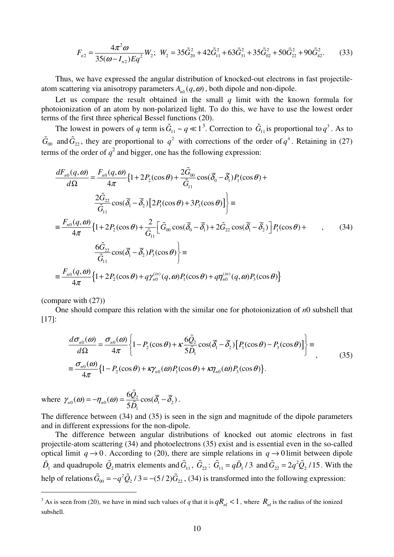$$
F_{n2} = \frac{4\pi^2 \omega}{35(\omega - I_{n2})Eq^2} W_2; \ W_2 = 35\tilde{G}_{20}^2 + 42\tilde{G}_{11}^2 + 63\tilde{G}_{31}^2 + 35\tilde{G}_{02}^2 + 50\tilde{G}_{22}^2 + 90\tilde{G}_{42}^2. \tag{33}
$$

Thus, we have expressed the angular distribution of knocked-out electrons in fast projectileatom scattering via anisotropy parameters  $A_{nl}$   $(q, \omega)$ , both dipole and non-dipole.

Let us compare the result obtained in the small  $q$  limit with the known formula for photoionization of an atom by non-polarized light. To do this, we have to use the lowest order terms of the first three spherical Bessel functions (20).

The lowest in powers of *q* term is  $\tilde{G}_{11} \sim q \ll 1^3$ . Correction to  $\tilde{G}_{11}$  is proportional to  $q^3$ . As to  $\tilde{G}_{00}$  and  $\tilde{G}_{22}$ , they are proportional to  $q^2$  with corrections of the order of  $q^4$ . Retaining in (27) terms of the order of  $q^2$  and bigger, one has the following expression:

$$
\frac{dF_{n0}(q,\omega)}{d\Omega} = \frac{F_{n0}(q,\omega)}{4\pi} \{1 + 2P_2(\cos\theta) + \frac{2\tilde{G}_{00}}{\tilde{G}_{11}}\cos(\overline{\delta}_0 - \overline{\delta}_1)P_1(\cos\theta) +
$$
\n
$$
\frac{2\tilde{G}_{22}}{\tilde{G}_{11}}\cos(\overline{\delta}_1 - \overline{\delta}_2) \{2P_1(\cos\theta) + 3P_3(\cos\theta)\}\} =
$$
\n
$$
\equiv \frac{F_{n0}(q,\omega)}{4\pi} \{1 + 2P_2(\cos\theta) + \frac{2}{\tilde{G}_{11}} \left[\tilde{G}_{00}\cos(\overline{\delta}_0 - \overline{\delta}_1) + 2\tilde{G}_{22}\cos(\overline{\delta}_1 - \overline{\delta}_2)\right]P_1(\cos\theta) +
$$
\n
$$
\frac{6\tilde{G}_{22}}{\tilde{G}_{11}}\cos(\overline{\delta}_1 - \overline{\delta}_2)P_3(\cos\theta)\} =
$$
\n
$$
\equiv \frac{F_{n0}(q,\omega)}{4\pi} \{1 + 2P_2(\cos\theta) + q\gamma_{n0}^{(in)}(q,\omega)P_1(\cos\theta) + q\eta_{n0}^{(in)}(q,\omega)P_3(\cos\theta)\}
$$
\n(34)

(compare with (27))

 $\overline{a}$ 

One should compare this relation with the similar one for photoionization of *n*0 subshell that [17]:

$$
\frac{d\sigma_{n0}(\omega)}{d\Omega} = \frac{\sigma_{n0}(\omega)}{4\pi} \left\{ 1 - P_2(\cos\theta) + \kappa \frac{6\tilde{Q}_2}{5\tilde{D}_1} \cos(\overline{\delta}_1 - \overline{\delta}_2) \left[ P_1(\cos\theta) - P_3(\cos\theta) \right] \right\} =
$$
\n
$$
\equiv \frac{\sigma_{n0}(\omega)}{4\pi} \left\{ 1 - P_2(\cos\theta) + \kappa \gamma_{n0}(\omega) P_1(\cos\theta) + \kappa \gamma_{n0}(\omega) P_3(\cos\theta) \right\}.
$$
\n(35)

where  $\gamma_{n0}(\omega) = -\eta_{n0}(\omega) = \frac{\partial \mathcal{Q}_2}{\partial \mathcal{Q}_1} \cos(\overline{\delta}_1 - \overline{\delta}_2)$ 1  $(\omega) = -\eta_{n0}(\omega) = \frac{6Q_2}{5.6} \cos(\overline{\delta}_1 - \overline{\delta}_2)$  $I_{n0}(\omega) = I_{n0}(\omega) - 5$ *Q D*  $\gamma_{n0}(\omega) = -\eta_{n0}(\omega) = \frac{\partial \mathcal{Q}_2}{\partial \mathcal{Z}_1} \cos(\overline{\delta}_1 - \overline{\delta}_2)$ วั  $\frac{\varepsilon_2}{\tilde{D}}\cos(\delta_1-\delta_2)$ .

The difference between (34) and (35) is seen in the sign and magnitude of the dipole parameters and in different expressions for the non-dipole.

The difference between angular distributions of knocked out atomic electrons in fast projectile-atom scattering (34) and photoelectrons (35) exist and is essential even in the so-called optical limit  $q \rightarrow 0$ . According to (20), there are simple relations in  $q \rightarrow 0$  limit between dipole  $\tilde{D}_1$  and quadrupole  $\tilde{Q}_2$  matrix elements and  $\tilde{G}_{11}$ ,  $\tilde{G}_{22}$ :  $\tilde{G}_{11} = q\tilde{D}_1/3$  and  $\tilde{G}_{22} = 2q^2\tilde{Q}_2/15$ . With the help of relations  $\tilde{G}_{00} = -q^2 \tilde{Q}_2 / 3 = -(5/2) \tilde{G}_{22}$ , (34) is transformed into the following expression:

<sup>&</sup>lt;sup>3</sup> As is seen from (20), we have in mind such values of *q* that it is  $qR_{nl} < 1$ , where  $R_{nl}$  is the radius of the ionized subshell.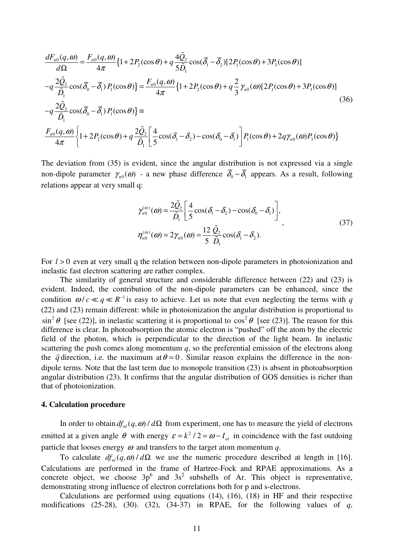$$
\frac{dF_{n0}(q,\omega)}{d\Omega} = \frac{F_{n0}(q,\omega)}{4\pi} \{1 + 2P_2(\cos\theta) + q\frac{4\tilde{Q}_2}{5\tilde{D}_1}\cos(\overline{\delta}_1 - \overline{\delta}_2)[2P_1(\cos\theta) + 3P_3(\cos\theta)]
$$
  
\n
$$
-q\frac{2\tilde{Q}_2}{\tilde{D}_1}\cos(\overline{\delta}_0 - \overline{\delta}_1)P_1(\cos\theta)\} = \frac{F_{n0}(q,\omega)}{4\pi} \{1 + 2P_2(\cos\theta) + q\frac{2}{3}\gamma_{n0}(\omega)[2P_1(\cos\theta) + 3P_3(\cos\theta)]
$$
  
\n
$$
-q\frac{2\tilde{Q}_2}{\tilde{D}_1}\cos(\overline{\delta}_0 - \overline{\delta}_1)P_1(\cos\theta)\} =
$$
  
\n
$$
\frac{F_{n0}(q,\omega)}{4\pi} \{1 + 2P_2(\cos\theta) + q\frac{2\tilde{Q}_2}{\tilde{D}_1} \left[\frac{4}{5}\cos(\delta_1 - \delta_2) - \cos(\delta_0 - \delta_1)\right]P_1(\cos\theta) + 2q\gamma_{n0}(\omega)P_3(\cos\theta)\}
$$
  
\n(36)

The deviation from (35) is evident, since the angular distribution is not expressed via a single non-dipole parameter  $\gamma_{n0}(\omega)$  - a new phase difference  $\delta_0 - \delta_1$  appears. As a result, following relations appear at very small q:

$$
\gamma_{n0}^{(in)}(\omega) = \frac{2\tilde{Q}_2}{\tilde{D}_1} \left[ \frac{4}{5} \cos(\delta_1 - \delta_2) - \cos(\delta_0 - \delta_1) \right],
$$
  
\n
$$
\eta_{n0}^{(in)}(\omega) = 2\gamma_{n0}(\omega) = \frac{12}{5} \frac{\tilde{Q}_2}{\tilde{D}_1} \cos(\delta_1 - \delta_2).
$$
\n(37)

For  $l > 0$  even at very small q the relation between non-dipole parameters in photoionization and inelastic fast electron scattering are rather complex.

 The similarity of general structure and considerable difference between (22) and (23) is evident. Indeed, the contribution of the non-dipole parameters can be enhanced, since the condition  $\omega / c \ll q \ll R^{-1}$  is easy to achieve. Let us note that even neglecting the terms with *q* (22) and (23) remain different: while in photoionization the angular distribution is proportional to  $\sin^2 \theta$  [see (22)], in inelastic scattering it is proportional to  $\cos^2 \theta$  [see (23)]. The reason for this difference is clear. In photoabsorption the atomic electron is "pushed" off the atom by the electric field of the photon, which is perpendicular to the direction of the light beam. In inelastic scattering the push comes along momentum  $q$ , so the preferential emission of the electrons along the  $\vec{q}$  direction, i.e. the maximum at  $\theta = 0$ . Similar reason explains the difference in the nondipole terms. Note that the last term due to monopole transition (23) is absent in photoabsorption angular distribution (23). It confirms that the angular distribution of GOS densities is richer than that of photoionization.

#### **4. Calculation procedure**

In order to obtain  $df_{nl}(q, \omega) / d\Omega$  from experiment, one has to measure the yield of electrons emitted at a given angle  $\theta$  with energy  $\varepsilon = k^2 / 2 = \omega - I_{nl}$  in coincidence with the fast outdoing particle that looses energy  $\omega$  and transfers to the target atom momentum  $q$ .

To calculate  $df_n(q, \omega) / d\Omega$  we use the numeric procedure described at length in [16]. Calculations are performed in the frame of Hartree-Fock and RPAE approximations. As a concrete object, we choose  $3p^6$  and  $3s^2$  subshells of Ar. This object is representative, demonstrating strong influence of electron correlations both for p and s-electrons.

Calculations are performed using equations (14), (16), (18) in HF and their respective modifications (25-28), (30). (32), (34-37) in RPAE, for the following values of *q*,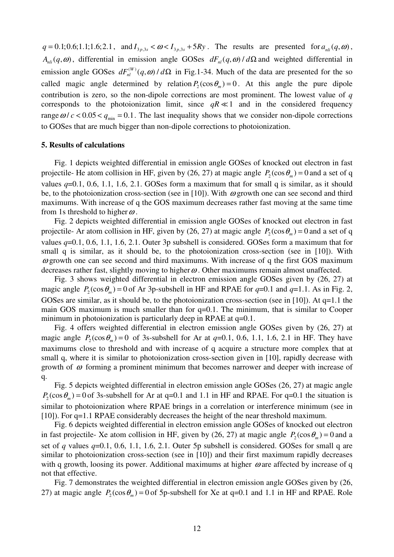$q = 0.1; 0.6; 1.1; 1.6; 2.1$ , and  $I_{3p,3s} < \omega < I_{3p,3s} + 5Ry$ . The results are presented for  $a_{nli}(q, \omega)$ ,  $A_{nli}(q, \omega)$ , differential in emission angle GOSes  $dF_{nl}(q, \omega) / d\Omega$  and weighted differential in emission angle GOSes  $dF_{nl}^{(W)}(q,\omega) / d\Omega$  in Fig.1-34. Much of the data are presented for the so called magic angle determined by relation  $P_2(\cos \theta_m) = 0$ . At this angle the pure dipole contribution is zero, so the non-dipole corrections are most prominent. The lowest value of *q*  corresponds to the photoionization limit, since  $qR \ll 1$  and in the considered frequency range  $\omega / c < 0.05 < q_{\text{min}} = 0.1$ . The last inequality shows that we consider non-dipole corrections to GOSes that are much bigger than non-dipole corrections to photoionization.

#### **5. Results of calculations**

Fig. 1 depicts weighted differential in emission angle GOSes of knocked out electron in fast projectile- He atom collision in HF, given by (26, 27) at magic angle  $P_2(\cos \theta_m) = 0$  and a set of q values *q*=0.1, 0.6, 1.1, 1.6, 2.1. GOSes form a maximum that for small q is similar, as it should be, to the photoionization cross-section (see in [10]). With  $\omega$  growth one can see second and third maximums. With increase of q the GOS maximum decreases rather fast moving at the same time from 1s threshold to higher  $\omega$ .

Fig. 2 depicts weighted differential in emission angle GOSes of knocked out electron in fast projectile- Ar atom collision in HF, given by (26, 27) at magic angle  $P_2(\cos \theta_m) = 0$  and a set of q values *q*=0.1, 0.6, 1.1, 1.6, 2.1. Outer 3p subshell is considered. GOSes form a maximum that for small q is similar, as it should be, to the photoionization cross-section (see in [10]). With  $\omega$  growth one can see second and third maximums. With increase of q the first GOS maximum decreases rather fast, slightly moving to higher  $\omega$ . Other maximums remain almost unaffected.

Fig. 3 shows weighted differential in electron emission angle GOSes given by (26, 27) at magic angle  $P_2(\cos \theta_m) = 0$  of Ar 3p-subshell in HF and RPAE for  $q=0.1$  and  $q=1.1$ . As in Fig. 2, GOSes are similar, as it should be, to the photoionization cross-section (see in [10]). At  $q=1.1$  the main GOS maximum is much smaller than for q=0.1. The minimum, that is similar to Cooper minimum in photoionization is particularly deep in RPAE at q=0.1.

Fig. 4 offers weighted differential in electron emission angle GOSes given by (26, 27) at magic angle  $P_2(\cos \theta_m) = 0$  of 3s-subshell for Ar at  $q=0.1, 0.6, 1.1, 1.6, 2.1$  in HF. They have maximums close to threshold and with increase of q acquire a structure more complex that at small q, where it is similar to photoionization cross-section given in [10], rapidly decrease with growth of  $\omega$  forming a prominent minimum that becomes narrower and deeper with increase of q.

Fig. 5 depicts weighted differential in electron emission angle GOSes (26, 27) at magic angle  $P_2(\cos \theta_m) = 0$  of 3s-subshell for Ar at q=0.1 and 1.1 in HF and RPAE. For q=0.1 the situation is similar to photoionization where RPAE brings in a correlation or interference minimum (see in [10]). For q=1.1 RPAE considerably decreases the height of the near threshold maximum.

Fig. 6 depicts weighted differential in electron emission angle GOSes of knocked out electron in fast projectile- Xe atom collision in HF, given by (26, 27) at magic angle  $P_2(\cos \theta_m) = 0$  and a set of *q* values *q*=0.1, 0.6, 1.1, 1.6, 2.1. Outer 5p subshell is considered. GOSes for small q are similar to photoionization cross-section (see in [10]) and their first maximum rapidly decreases with q growth, loosing its power. Additional maximums at higher  $\omega$  are affected by increase of q not that effective.

Fig. 7 demonstrates the weighted differential in electron emission angle GOSes given by (26, 27) at magic angle  $P_2(\cos \theta_m) = 0$  of 5p-subshell for Xe at q=0.1 and 1.1 in HF and RPAE. Role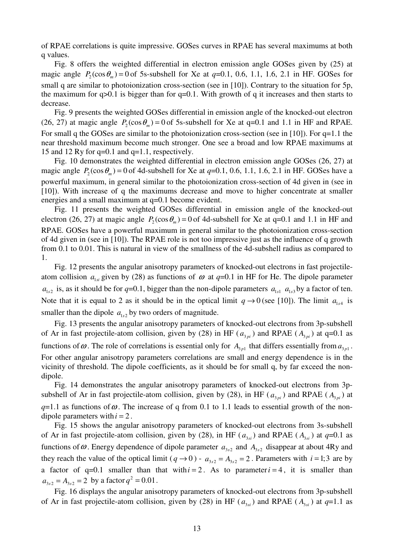of RPAE correlations is quite impressive. GOSes curves in RPAE has several maximums at both q values.

Fig. 8 offers the weighted differential in electron emission angle GOSes given by (25) at magic angle  $P_2(\cos \theta_m) = 0$  of 5s-subshell for Xe at  $q=0.1, 0.6, 1.1, 1.6, 2.1$  in HF. GOSes for small q are similar to photoionization cross-section (see in [10]). Contrary to the situation for 5p, the maximum for  $q>0.1$  is bigger than for  $q=0.1$ . With growth of q it increases and then starts to decrease.

Fig. 9 presents the weighted GOSes differential in emission angle of the knocked-out electron (26, 27) at magic angle  $P_2(\cos \theta_m) = 0$  of 5s-subshell for Xe at q=0.1 and 1.1 in HF and RPAE. For small q the GOSes are similar to the photoionization cross-section (see in [10]). For q=1.1 the near threshold maximum become much stronger. One see a broad and low RPAE maximums at 15 and 12 Ry for q=0.1 and q=1.1, respectively.

Fig. 10 demonstrates the weighted differential in electron emission angle GOSes (26, 27) at magic angle  $P_2(\cos \theta_m) = 0$  of 4d-subshell for Xe at  $q=0.1, 0.6, 1.1, 1.6, 2.1$  in HF. GOSes have a powerful maximum, in general similar to the photoionization cross-section of 4d given in (see in [10]). With increase of q the maximums decrease and move to higher concentrate at smaller energies and a small maximum at q=0.1 become evident.

Fig. 11 presents the weighted GOSes differential in emission angle of the knocked-out electron (26, 27) at magic angle  $P_2(\cos \theta_m) = 0$  of 4d-subshell for Xe at q=0.1 and 1.1 in HF and RPAE. GOSes have a powerful maximum in general similar to the photoionization cross-section of 4d given in (see in [10]). The RPAE role is not too impressive just as the influence of q growth from 0.1 to 0.01. This is natural in view of the smallness of the 4d-subshell radius as compared to 1.

Fig. 12 presents the angular anisotropy parameters of knocked-out electrons in fast projectileatom collision  $a_{1si}$  given by (28) as functions of  $\omega$  at  $q=0.1$  in HF for He. The dipole parameter  $a_{1s2}$  is, as it should be for  $q=0.1$ , bigger than the non-dipole parameters  $a_{1s1}$   $a_{1s3}$  by a factor of ten. Note that it is equal to 2 as it should be in the optical limit  $q \rightarrow 0$  (see [10]). The limit  $a_{1s4}$  is smaller than the dipole  $a_{1s2}$  by two orders of magnitude.

Fig. 13 presents the angular anisotropy parameters of knocked-out electrons from 3p-subshell of Ar in fast projectile-atom collision, given by (28) in HF ( $a_{3pi}$ ) and RPAE ( $A_{3pi}$ ) at q=0.1 as functions of  $\omega$ . The role of correlations is essential only for  $A_{3p1}$  that differs essentially from  $a_{3p1}$ . For other angular anisotropy parameters correlations are small and energy dependence is in the vicinity of threshold. The dipole coefficients, as it should be for small q, by far exceed the nondipole.

Fig. 14 demonstrates the angular anisotropy parameters of knocked-out electrons from 3psubshell of Ar in fast projectile-atom collision, given by (28), in HF ( $a_{3pi}$ ) and RPAE ( $A_{3pi}$ ) at  $q=1.1$  as functions of  $\omega$ . The increase of q from 0.1 to 1.1 leads to essential growth of the nondipole parameters with  $i = 2$ .

Fig. 15 shows the angular anisotropy parameters of knocked-out electrons from 3s-subshell of Ar in fast projectile-atom collision, given by (28), in HF ( $a_{3si}$ ) and RPAE ( $A_{3si}$ ) at  $q=0.1$  as functions of  $\omega$ . Energy dependence of dipole parameter  $a_{3s2}$  and  $A_{3s2}$  disappear at about 4Ry and they reach the value of the optical limit ( $q \rightarrow 0$ ) -  $a_{3s2} = A_{3s2} = 2$ . Parameters with  $i = 1; 3$  are by a factor of  $q=0.1$  smaller than that with  $i = 2$ . As to parameter  $i = 4$ , it is smaller than  $a_{3s2} = A_{3s2} = 2$  by a factor  $q^2 = 0.01$ .

Fig. 16 displays the angular anisotropy parameters of knocked-out electrons from 3p-subshell of Ar in fast projectile-atom collision, given by (28) in HF ( $a_{3) and RPAE ( $A_{3) at  $q=1.1$  as$$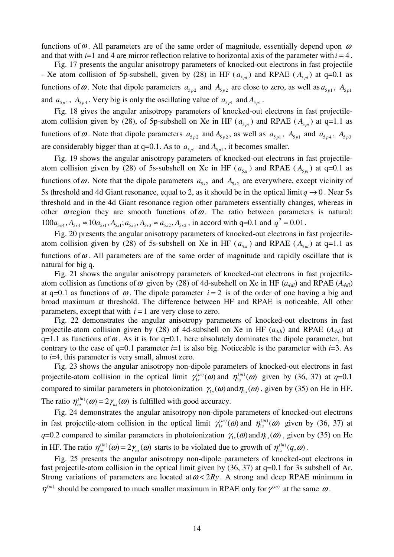functions of  $\omega$ . All parameters are of the same order of magnitude, essentially depend upon  $\omega$ and that with  $i=1$  and 4 are mirror reflection relative to horizontal axis of the parameter with  $i=4$ .

Fig. 17 presents the angular anisotropy parameters of knocked-out electrons in fast projectile - Xe atom collision of 5p-subshell, given by (28) in HF ( $a_{5pi}$ ) and RPAE ( $A_{5pi}$ ) at q=0.1 as functions of  $\omega$ . Note that dipole parameters  $a_{5p2}$  and  $A_{5p2}$  are close to zero, as well as  $a_{5p1}$ ,  $A_{5p1}$ and  $a_{5p4}$ ,  $A_{5p4}$ . Very big is only the oscillating value of  $a_{5p1}$  and  $A_{5p1}$ .

Fig. 18 gives the angular anisotropy parameters of knocked-out electrons in fast projectileatom collision given by (28), of 5p-subshell on Xe in HF ( $a_{3pi}$ ) and RPAE ( $A_{3pi}$ ) at q=1.1 as functions of  $\omega$ . Note that dipole parameters  $a_{5p2}$  and  $A_{5p2}$ , as well as  $a_{5p1}$ ,  $A_{5p1}$  and  $a_{5p4}$ ,  $A_{5p3}$ are considerably bigger than at  $q=0.1$ . As to  $a_{5p1}$  and  $A_{5p1}$ , it becomes smaller.

Fig. 19 shows the angular anisotropy parameters of knocked-out electrons in fast projectileatom collision given by (28) of 5s-subshell on Xe in HF ( $a_{5si}$ ) and RPAE ( $A_{5pi}$ ) at q=0.1 as functions of  $\omega$ . Note that the dipole parameters  $a_{5s2}$  and  $A_{5s2}$  are everywhere, except vicinity of 5s threshold and 4d Giant resonance, equal to 2, as it should be in the optical limit  $q \rightarrow 0$ . Near 5s threshold and in the 4d Giant resonance region other parameters essentially changes, whereas in other  $\omega$  region they are smooth functions of  $\omega$ . The ratio between parameters is natural:  $100a_{5s4}, A_{5s4} \approx 10a_{5s1}, A_{5s1}; a_{5s3}, A_{5s3} \approx a_{5s2}, A_{5s2}$ , in accord with q=0.1 and  $q^2 = 0.01$ .

Fig. 20 presents the angular anisotropy parameters of knocked-out electrons in fast projectileatom collision given by (28) of 5s-subshell on Xe in HF ( $a_{5si}$ ) and RPAE ( $A_{5ni}$ ) at q=1.1 as functions of  $\omega$ . All parameters are of the same order of magnitude and rapidly oscillate that is natural for big q.

Fig. 21 shows the angular anisotropy parameters of knocked-out electrons in fast projectileatom collision as functions of  $\omega$  given by (28) of 4d-subshell on Xe in HF ( $a_{4di}$ ) and RPAE ( $A_{4di}$ ) at q=0.1 as functions of  $\omega$ . The dipole parameter  $i = 2$  is of the order of one having a big and broad maximum at threshold. The difference between HF and RPAE is noticeable. All other parameters, except that with  $i = 1$  are very close to zero.

Fig. 22 demonstrates the angular anisotropy parameters of knocked-out electrons in fast projectile-atom collision given by (28) of 4d-subshell on Xe in HF (*a4di*) and RPAE (*A4di*) at q=1.1 as functions of  $\omega$ . As it is for q=0.1, here absolutely dominates the dipole parameter, but contrary to the case of  $q=0.1$  parameter  $i=1$  is also big. Noticeable is the parameter with  $i=3$ . As to *i*=4, this parameter is very small, almost zero.

Fig. 23 shows the angular anisotropy non-dipole parameters of knocked-out electrons in fast projectile-atom collision in the optical limit  $\gamma_{1s}^{(in)}(\omega)$  and  $\eta_{1s}^{(in)}(\omega)$  given by (36, 37) at *q*=0.1 compared to similar parameters in photoionization  $\gamma_{1s}(\omega)$  and  $\eta_{1s}(\omega)$ , given by (35) on He in HF. The ratio  $\eta_{\scriptscriptstyle{ns}}^{(in)}(\omega) = 2 \gamma_{\scriptscriptstyle{ns}}(\omega)$  is fulfilled with good accuracy.

Fig. 24 demonstrates the angular anisotropy non-dipole parameters of knocked-out electrons in fast projectile-atom collision in the optical limit  $\gamma_{1s}^{(in)}(\omega)$  and  $\eta_{1s}^{(in)}(\omega)$  given by (36, 37) at *q*=0.2 compared to similar parameters in photoionization  $\gamma_{1s}(\omega)$  and  $\eta_{1s}(\omega)$ , given by (35) on He in HF. The ratio  $\eta_{ns}^{(in)}(\omega) = 2\gamma_{ns}(\omega)$  starts to be violated due to growth of  $\eta_{1s}^{(in)}(q,\omega)$ .

Fig. 25 presents the angular anisotropy non-dipole parameters of knocked-out electrons in fast projectile-atom collision in the optical limit given by (36, 37) at q=0.1 for 3s subshell of Ar. Strong variations of parameters are located at  $\omega < 2R_y$ . A strong and deep RPAE minimum in  $\eta^{(in)}$  should be compared to much smaller maximum in RPAE only for  $\gamma^{(in)}$  at the same  $\omega$ .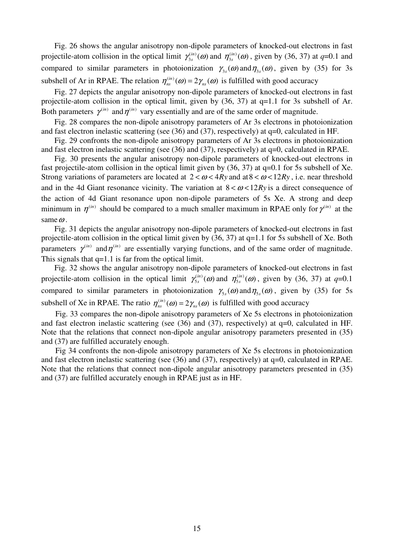Fig. 26 shows the angular anisotropy non-dipole parameters of knocked-out electrons in fast projectile-atom collision in the optical limit  $\gamma_{3s}^{(in)}(\omega)$  and  $\eta_{3s}^{(in)}(\omega)$ , given by (36, 37) at *q*=0.1 and compared to similar parameters in photoionization  $\gamma_{3s}(\omega)$  and  $\eta_{3s}(\omega)$ , given by (35) for 3s subshell of Ar in RPAE. The relation  $\eta_{ns}^{(in)}(\omega) = 2\gamma_{ns}(\omega)$  is fulfilled with good accuracy

Fig. 27 depicts the angular anisotropy non-dipole parameters of knocked-out electrons in fast projectile-atom collision in the optical limit, given by (36, 37) at q=1.1 for 3s subshell of Ar. Both parameters  $\gamma^{(in)}$  and  $\eta^{(in)}$  vary essentially and are of the same order of magnitude.

Fig. 28 compares the non-dipole anisotropy parameters of Ar 3s electrons in photoionization and fast electron inelastic scattering (see (36) and (37), respectively) at q=0, calculated in HF.

Fig. 29 confronts the non-dipole anisotropy parameters of Ar 3s electrons in photoionization and fast electron inelastic scattering (see (36) and (37), respectively) at q=0, calculated in RPAE.

Fig. 30 presents the angular anisotropy non-dipole parameters of knocked-out electrons in fast projectile-atom collision in the optical limit given by (36, 37) at q=0.1 for 5s subshell of Xe. Strong variations of parameters are located at  $2 < \omega < 4Ry$  and at  $8 < \omega < 12Ry$ , i.e. near threshold and in the 4d Giant resonance vicinity. The variation at  $8 < \omega < 12Ry$  is a direct consequence of the action of 4d Giant resonance upon non-dipole parameters of 5s Xe. A strong and deep minimum in  $\eta^{(in)}$  should be compared to a much smaller maximum in RPAE only for  $\gamma^{(in)}$  at the same  $\omega$ .

Fig. 31 depicts the angular anisotropy non-dipole parameters of knocked-out electrons in fast projectile-atom collision in the optical limit given by (36, 37) at q=1.1 for 5s subshell of Xe. Both parameters  $\gamma^{(in)}$  and  $\eta^{(in)}$  are essentially varying functions, and of the same order of magnitude. This signals that  $q=1.1$  is far from the optical limit.

Fig. 32 shows the angular anisotropy non-dipole parameters of knocked-out electrons in fast projectile-atom collision in the optical limit  $\gamma_{5s}^{(in)}(\omega)$  and  $\eta_{5s}^{(in)}(\omega)$ , given by (36, 37) at *q*=0.1 compared to similar parameters in photoionization  $\gamma_{5s}(\omega)$  and  $\eta_{5s}(\omega)$ , given by (35) for 5s subshell of Xe in RPAE. The ratio  $\eta_{ns}^{(in)}(\omega) = 2\gamma_{ns}(\omega)$  is fulfilled with good accuracy

 Fig. 33 compares the non-dipole anisotropy parameters of Xe 5s electrons in photoionization and fast electron inelastic scattering (see (36) and (37), respectively) at q=0, calculated in HF. Note that the relations that connect non-dipole angular anisotropy parameters presented in (35) and (37) are fulfilled accurately enough.

 Fig 34 confronts the non-dipole anisotropy parameters of Xe 5s electrons in photoionization and fast electron inelastic scattering (see (36) and (37), respectively) at q=0, calculated in RPAE. Note that the relations that connect non-dipole angular anisotropy parameters presented in (35) and (37) are fulfilled accurately enough in RPAE just as in HF.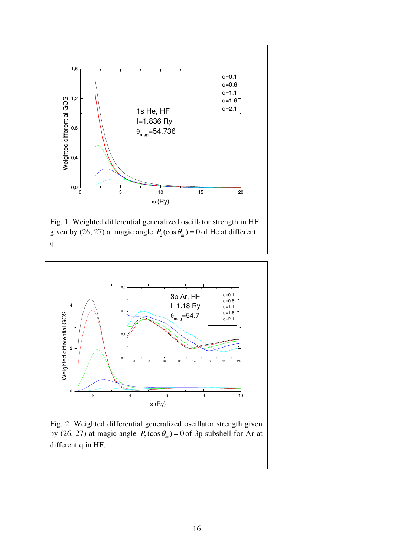

Fig. 1. Weighted differential generalized oscillator strength in HF given by (26, 27) at magic angle  $P_2(\cos \theta_m) = 0$  of He at different q.



Fig. 2. Weighted differential generalized oscillator strength given by (26, 27) at magic angle  $P_2(\cos \theta_m) = 0$  of 3p-subshell for Ar at different q in HF.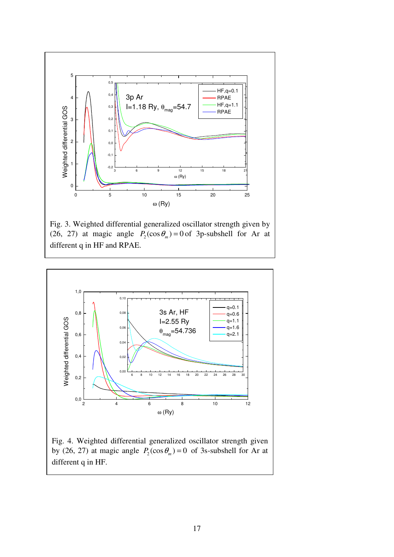

Fig. 3. Weighted differential generalized oscillator strength given by (26, 27) at magic angle  $P_2(\cos \theta_m) = 0$  of 3p-subshell for Ar at different q in HF and RPAE.



Fig. 4. Weighted differential generalized oscillator strength given by (26, 27) at magic angle  $P_2(\cos \theta_m) = 0$  of 3s-subshell for Ar at different q in HF.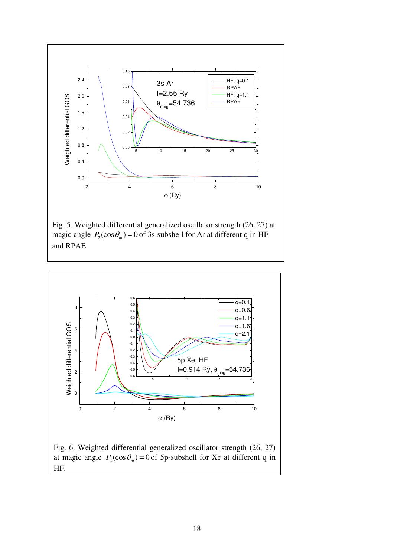

magic angle  $P_2(\cos \theta_m) = 0$  of 3s-subshell for Ar at different q in HF and RPAE.



Fig. 6. Weighted differential generalized oscillator strength (26, 27) at magic angle  $P_2(\cos \theta_m) = 0$  of 5p-subshell for Xe at different q in HF.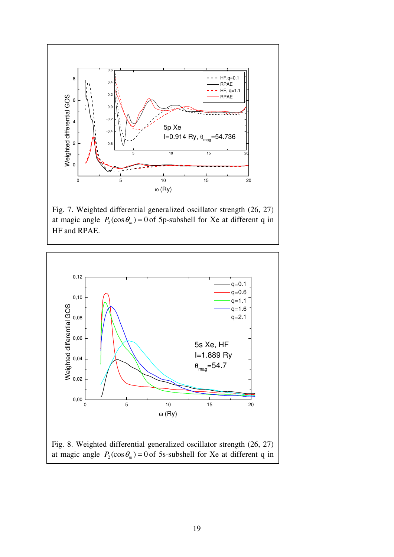

Fig. 7. Weighted differential generalized oscillator strength (26, 27) at magic angle  $P_2(\cos \theta_m) = 0$  of 5p-subshell for Xe at different q in HF and RPAE.

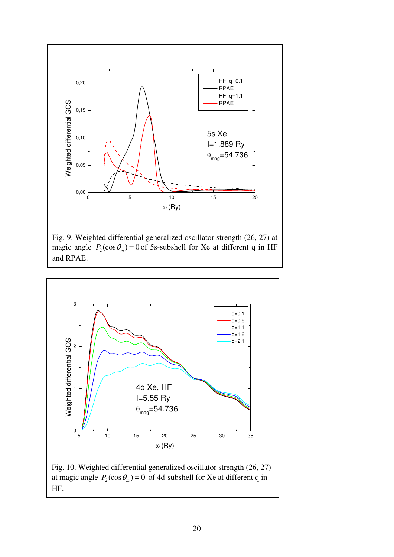

Fig. 9. Weighted differential generalized oscillator strength (26, 27) at magic angle  $P_2(\cos \theta_m) = 0$  of 5s-subshell for Xe at different q in HF and RPAE.

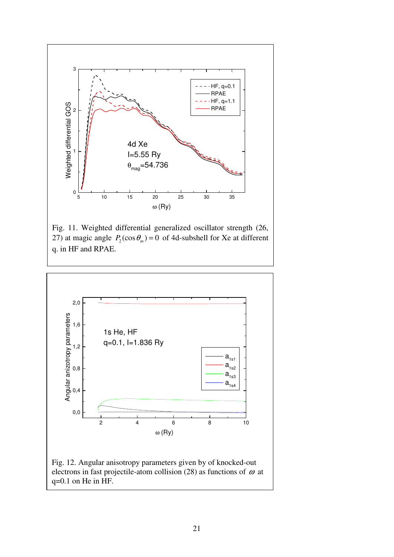

Fig. 11. Weighted differential generalized oscillator strength (26, 27) at magic angle  $P_2(\cos \theta_m) = 0$  of 4d-subshell for Xe at different q. in HF and RPAE.



Fig. 12. Angular anisotropy parameters given by of knocked-out electrons in fast projectile-atom collision (28) as functions of  $\omega$  at q=0.1 on He in HF.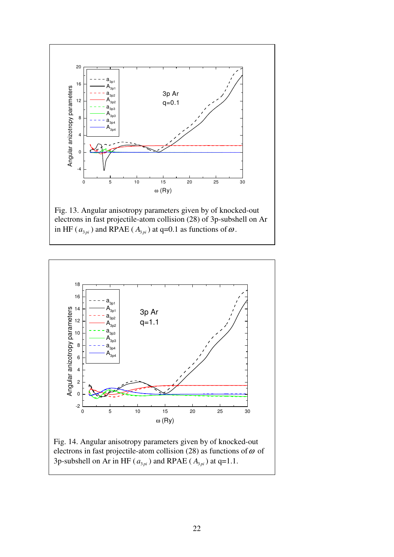

Fig. 13. Angular anisotropy parameters given by of knocked-out electrons in fast projectile-atom collision (28) of 3p-subshell on Ar in HF ( $a_{3\pi i}$ ) and RPAE ( $A_{3\pi i}$ ) at q=0.1 as functions of  $\omega$ .



Fig. 14. Angular anisotropy parameters given by of knocked-out electrons in fast projectile-atom collision (28) as functions of  $\omega$  of 3p-subshell on Ar in HF ( $a_{3pi}$ ) and RPAE ( $A_{3pi}$ ) at q=1.1.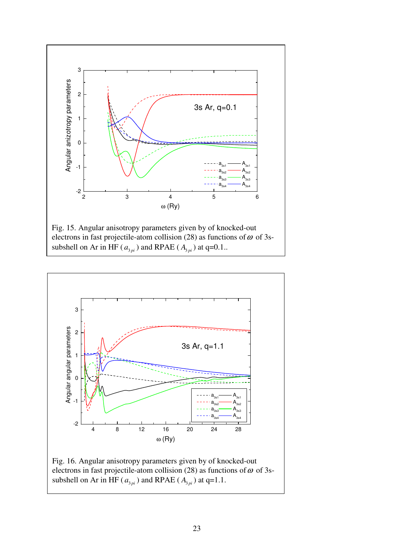

Fig. 15. Angular anisotropy parameters given by of knocked-out electrons in fast projectile-atom collision (28) as functions of  $\omega$  of 3ssubshell on Ar in HF ( $a_{3pi}$ ) and RPAE ( $A_{3pi}$ ) at q=0.1..



Fig. 16. Angular anisotropy parameters given by of knocked-out electrons in fast projectile-atom collision (28) as functions of  $\omega$  of 3ssubshell on Ar in HF ( $a_{3pi}$ ) and RPAE ( $A_{3pi}$ ) at q=1.1.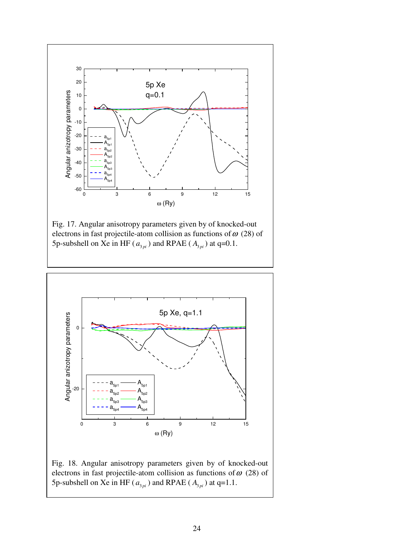

Fig. 17. Angular anisotropy parameters given by of knocked-out electrons in fast projectile-atom collision as functions of  $\omega$  (28) of 5p-subshell on Xe in HF ( $a_{3pi}$ ) and RPAE ( $A_{3pi}$ ) at q=0.1.



Fig. 18. Angular anisotropy parameters given by of knocked-out electrons in fast projectile-atom collision as functions of  $\omega$  (28) of 5p-subshell on Xe in HF ( $a_{3pi}$ ) and RPAE ( $A_{3pi}$ ) at q=1.1.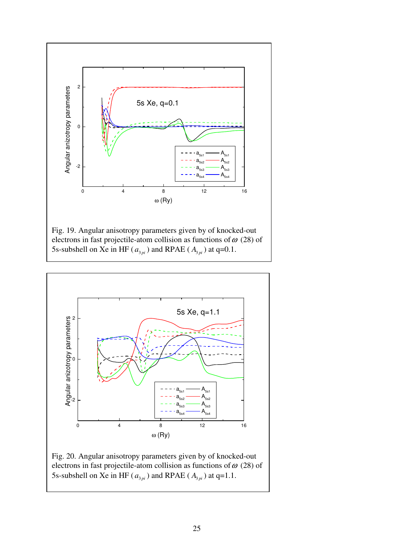

Fig. 19. Angular anisotropy parameters given by of knocked-out electrons in fast projectile-atom collision as functions of  $\omega$  (28) of 5s-subshell on Xe in HF ( $a_{3pi}$ ) and RPAE ( $A_{3pi}$ ) at q=0.1.



Fig. 20. Angular anisotropy parameters given by of knocked-out electrons in fast projectile-atom collision as functions of  $\omega$  (28) of 5s-subshell on Xe in HF ( $a_{3pi}$ ) and RPAE ( $A_{3pi}$ ) at q=1.1.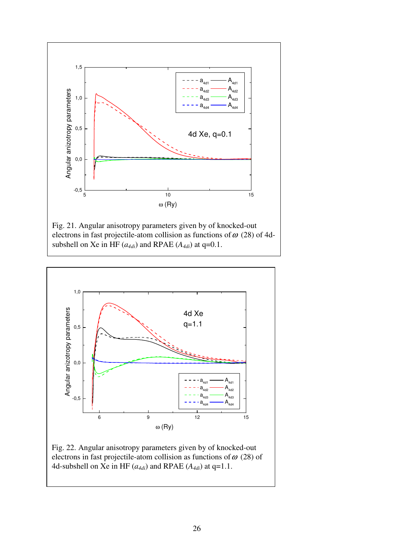

Fig. 21. Angular anisotropy parameters given by of knocked-out electrons in fast projectile-atom collision as functions of  $\omega$  (28) of 4dsubshell on Xe in HF  $(a_{4di})$  and RPAE  $(A_{4di})$  at q=0.1.



Fig. 22. Angular anisotropy parameters given by of knocked-out electrons in fast projectile-atom collision as functions of  $\omega$  (28) of 4d-subshell on Xe in HF  $(a_{4di})$  and RPAE  $(A_{4di})$  at q=1.1.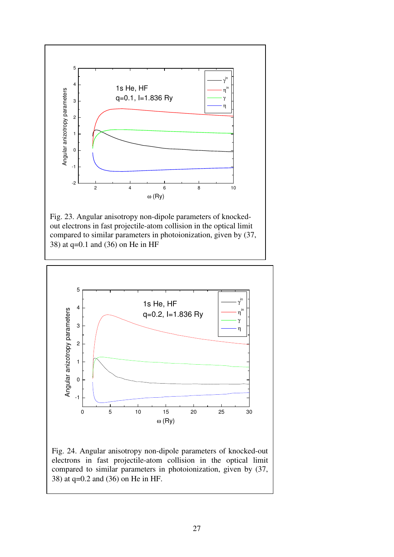

Fig. 23. Angular anisotropy non-dipole parameters of knockedout electrons in fast projectile-atom collision in the optical limit compared to similar parameters in photoionization, given by (37, 38) at q=0.1 and (36) on He in HF



Fig. 24. Angular anisotropy non-dipole parameters of knocked-out electrons in fast projectile-atom collision in the optical limit compared to similar parameters in photoionization, given by (37, 38) at q=0.2 and (36) on He in HF.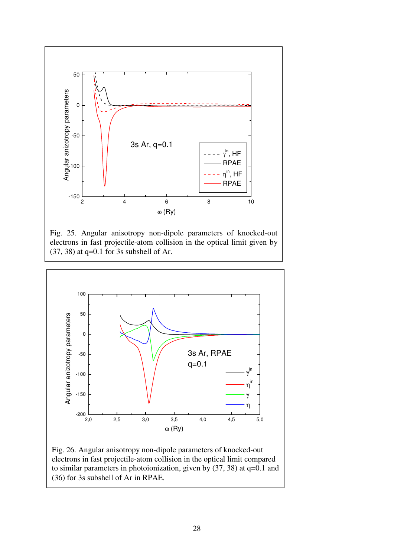

Fig. 25. Angular anisotropy non-dipole parameters of knocked-out electrons in fast projectile-atom collision in the optical limit given by  $(37, 38)$  at q=0.1 for 3s subshell of Ar.



Fig. 26. Angular anisotropy non-dipole parameters of knocked-out electrons in fast projectile-atom collision in the optical limit compared to similar parameters in photoionization, given by (37, 38) at q=0.1 and (36) for 3s subshell of Ar in RPAE.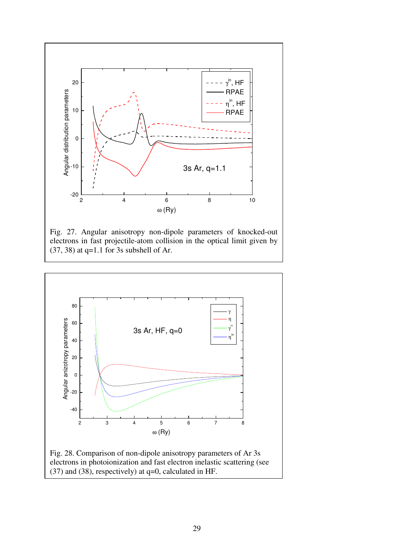





(37) and (38), respectively) at q=0, calculated in HF.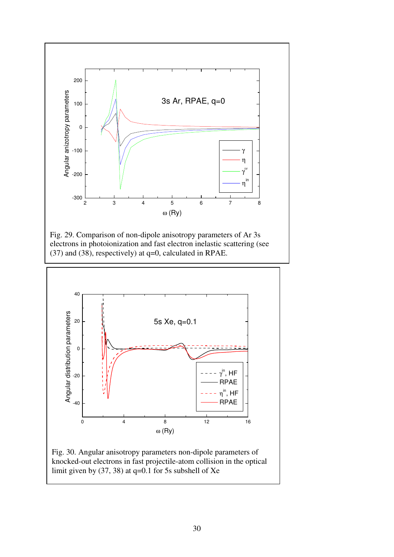

Fig. 29. Comparison of non-dipole anisotropy parameters of Ar 3s electrons in photoionization and fast electron inelastic scattering (see (37) and (38), respectively) at q=0, calculated in RPAE.



Fig. 30. Angular anisotropy parameters non-dipole parameters of knocked-out electrons in fast projectile-atom collision in the optical limit given by  $(37, 38)$  at q=0.1 for 5s subshell of Xe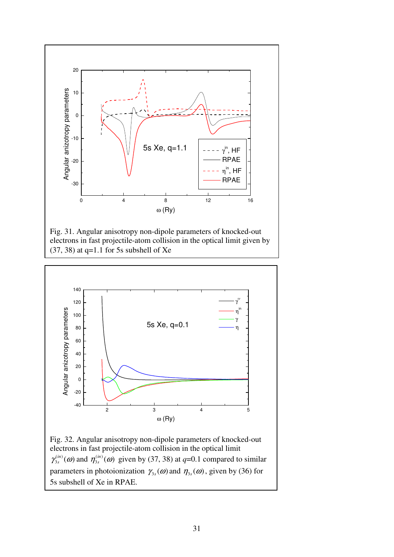





Fig. 32. Angular anisotropy non-dipole parameters of knocked-out electrons in fast projectile-atom collision in the optical limit  $\left( in\right)$  $\gamma_{3s}^{(in)}(\omega)$  and  $\eta_{3s}^{(in)}(\omega)$  given by (37, 38) at *q*=0.1 compared to similar parameters in photoionization  $\gamma_{3s}(\omega)$  and  $\eta_{3s}(\omega)$ , given by (36) for 5s subshell of Xe in RPAE.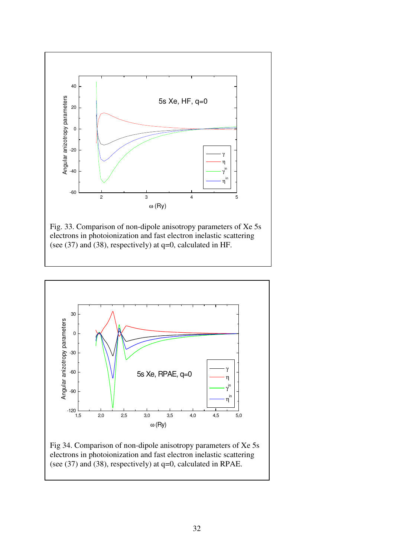

Fig. 33. Comparison of non-dipole anisotropy parameters of Xe 5s electrons in photoionization and fast electron inelastic scattering (see (37) and (38), respectively) at q=0, calculated in HF.



Fig 34. Comparison of non-dipole anisotropy parameters of Xe 5s electrons in photoionization and fast electron inelastic scattering (see (37) and (38), respectively) at q=0, calculated in RPAE.